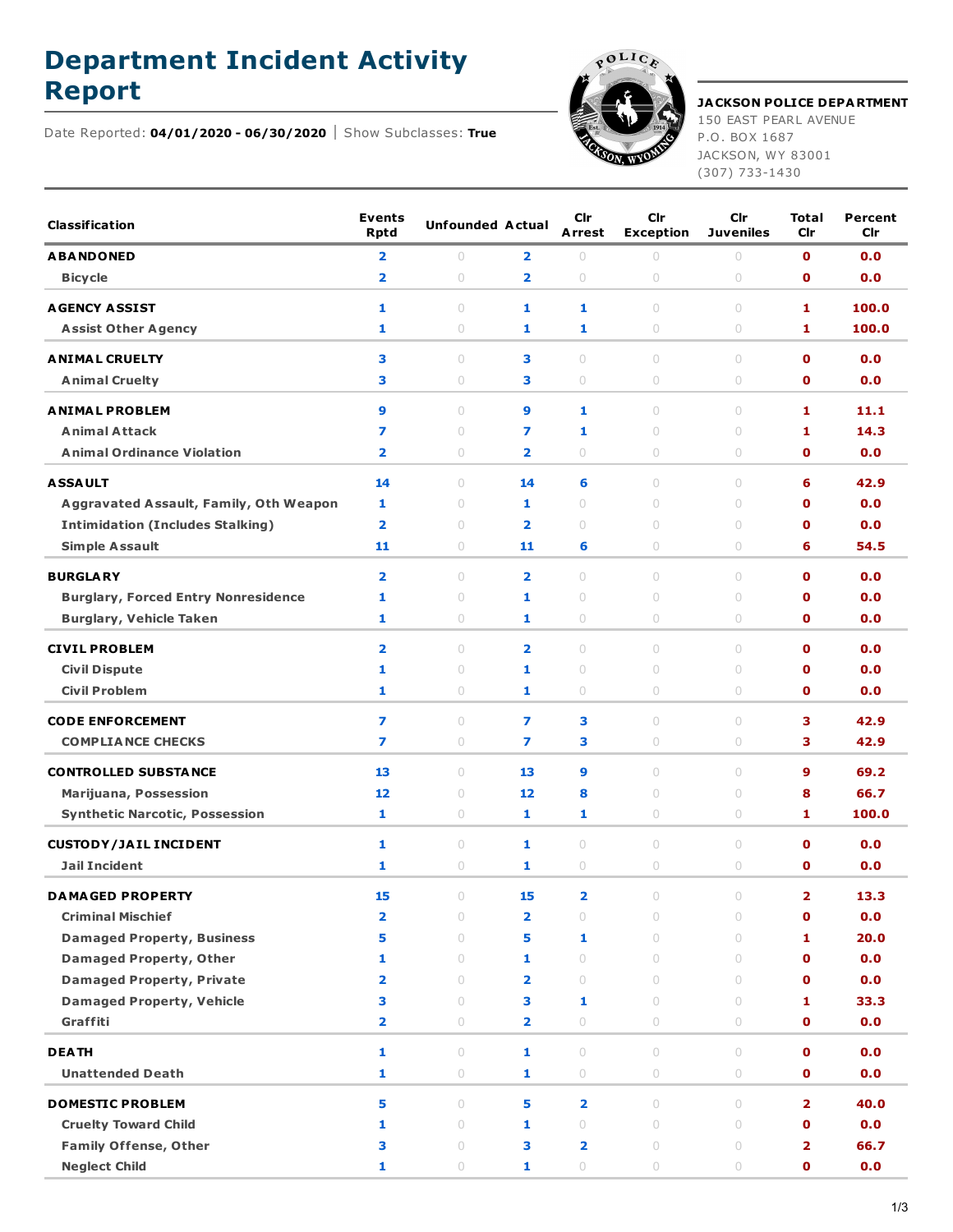## **Department Incident Activity**

Date Reported: **04/01/2020 - 06/30/2020** Show Subclasses: **True**



**Report JACKSON POLICE DEPARTMENT** 150 EAST PEARL AVENUE

P.O. BOX 1687 JACKSON, WY 83001 (307) 733-1430

| <b>Classification</b>                                          | <b>Events</b><br><b>Rptd</b> | <b>Unfounded Actual</b> |                         | Cir<br><b>Arrest</b>    | Cir<br><b>Exception</b>                     | Cir<br><b>Juveniles</b> | <b>Total</b><br>Cir     | Percent<br>Cir |
|----------------------------------------------------------------|------------------------------|-------------------------|-------------------------|-------------------------|---------------------------------------------|-------------------------|-------------------------|----------------|
| <b>ABANDONED</b>                                               | 2                            | 0                       | 2                       | $\bigcirc$              | $\circ$                                     | $\circ$                 | O                       | 0.0            |
| <b>Bicycle</b>                                                 | $\overline{2}$               | $\circ$                 | $\overline{\mathbf{2}}$ | $\circ$                 | 0                                           | 0                       | 0                       | 0.0            |
| <b>AGENCY ASSIST</b>                                           | 1                            | 0                       | 1                       | 1                       | $\circ$                                     | 0                       | 1                       | 100.0          |
| <b>Assist Other Agency</b>                                     | 1                            | 0                       | 1                       | 1                       | 0                                           | 0                       | 1                       | 100.0          |
| <b>ANIMAL CRUELTY</b>                                          | з                            | $\circ$                 | з                       | $\circ$                 | $\begin{array}{c} \n\end{array}$            | $\circ$                 | O                       | 0.0            |
| <b>Animal Cruelty</b>                                          | з                            | $\circ$                 | з                       | $\circ$                 | 0                                           | 0                       | 0                       | 0.0            |
|                                                                |                              |                         |                         |                         |                                             |                         |                         |                |
| <b>ANIMAL PROBLEM</b><br><b>Animal Attack</b>                  | 9<br>7                       | 0<br>$\circ$            | 9<br>7                  | 1<br>1                  | $\circ$<br>$\circ$                          | 0<br>$\circ$            | 1<br>1                  | 11.1<br>14.3   |
| <b>Animal Ordinance Violation</b>                              | 2                            | $\circ$                 | 2                       | $\circ$                 | 0                                           | 0                       | 0                       | 0.0            |
|                                                                |                              |                         |                         |                         |                                             |                         |                         |                |
| <b>ASSAULT</b>                                                 | 14                           | $\circ$                 | 14                      | 6                       | $\begin{array}{c} \n\end{array}$            | $\circ$                 | 6                       | 42.9           |
| Aggravated Assault, Family, Oth Weapon                         | 1                            | $\circ$                 | 1                       | $\circ$                 | $\circ$                                     | $\circ$                 | O                       | 0.0            |
| <b>Intimidation (Includes Stalking)</b>                        | 2                            | $\circ$                 | 2                       | $\circ$                 | $\circ$                                     | $\circ$                 | O                       | 0.0            |
| <b>Simple Assault</b>                                          | 11                           | 0                       | 11                      | 6                       | $\circ$                                     | 0                       | 6                       | 54.5           |
| <b>BURGLARY</b>                                                | $\overline{\mathbf{2}}$      | $\circ$                 | $\overline{\mathbf{2}}$ | $\circ$                 | $\begin{array}{c} \n\end{array}$            | $\circ$                 | $\mathbf o$             | 0.0            |
| <b>Burglary, Forced Entry Nonresidence</b>                     | 1                            | $\circ$                 | 1                       | $\circ$                 | $\circ$                                     | $\circ$                 | O                       | 0.0            |
| <b>Burglary, Vehicle Taken</b>                                 | 1                            | 0                       | 1                       | $\circ$                 | $\circ$                                     | $\circ$                 | O                       | 0.0            |
| <b>CIVIL PROBLEM</b>                                           | 2                            | $\circ$                 | $\overline{\mathbf{2}}$ | $\circ$                 | $\circ$                                     | $\circ$                 | O                       | 0.0            |
| <b>Civil Dispute</b>                                           | 1                            | $\circ$                 | 1                       | $\circ$                 | 0                                           | $\circ$                 | O                       | 0.0            |
| <b>Civil Problem</b>                                           | 1                            | 0                       | 1                       | $\circ$                 | 0                                           | 0                       | O                       | 0.0            |
| <b>CODE ENFORCEMENT</b>                                        | 7                            | $\circ$                 | 7                       | 3                       | $\circ$                                     | $\circ$                 | з                       | 42.9           |
| <b>COMPLIANCE CHECKS</b>                                       | 7                            | 0                       | 7                       | з                       | $\circ$                                     | 0                       | 3.                      | 42.9           |
|                                                                |                              |                         |                         |                         |                                             |                         | 9                       |                |
| <b>CONTROLLED SUBSTANCE</b>                                    | 13<br>12                     | 0<br>$\circ$            | 13<br>12                | 9<br>8                  | $\begin{array}{c} \n\end{array}$<br>$\circ$ | 0<br>$\circ$            | 8                       | 69.2<br>66.7   |
| Marijuana, Possession<br><b>Synthetic Narcotic, Possession</b> | 1                            | 0                       | 1                       | 1                       | 0                                           | $\circ$                 | 1                       | 100.0          |
|                                                                |                              |                         |                         |                         |                                             |                         |                         |                |
| <b>CUSTODY/JAIL INCIDENT</b>                                   | 1                            | 0                       | 1                       | $\circ$                 | $\circ$                                     | $\circ$                 | O                       | 0.0            |
| <b>Jail Incident</b>                                           | 1                            | 0                       | 1                       | $\circ$                 | $\circ$                                     | 0                       | O                       | 0.0            |
| <b>DAMAGED PROPERTY</b>                                        | 15                           | $\circ$                 | 15                      | $\overline{\mathbf{2}}$ | $\bigcirc$                                  | $\cap$                  | $\mathbf{2}$            | 13.3           |
| <b>Criminal Mischief</b>                                       | 2                            | $\bigcirc$              | 2                       | $\circ$                 | 0                                           | 0                       | $\mathbf 0$             | 0.0            |
| <b>Damaged Property, Business</b>                              | 5                            | $\bigcirc$              | 5                       | 1                       | $\circ$                                     | $\circlearrowright$     | 1                       | 20.0           |
| <b>Damaged Property, Other</b>                                 | 1                            | $\bigcirc$              | 1                       | $\circ$                 | $\circ$                                     | $\circ$                 | O                       | 0.0            |
| <b>Damaged Property, Private</b>                               | 2                            | $\circlearrowright$     | 2                       | $\circ$                 | $\circ$                                     | $\bigcirc$              | 0                       | 0.0            |
| <b>Damaged Property, Vehicle</b>                               | з                            | $\bigcirc$              | з                       | 1                       | 0                                           | $\bigcirc$              | 1                       | 33.3           |
| Graffiti                                                       | 2                            | $\circ$                 | 2                       | $\bigcirc$              | $\circ$                                     | $\circlearrowright$     | 0                       | 0.0            |
| <b>DEATH</b>                                                   | 1                            | $\circlearrowright$     | 1                       | $\circ$                 | $\circ$                                     | $\bigcirc$              | 0                       | 0.0            |
| <b>Unattended Death</b>                                        | 1                            | $\circ$                 | 1                       | $\circlearrowright$     | $\circlearrowright$                         | $\circlearrowright$     | 0                       | 0.0            |
| <b>DOMESTIC PROBLEM</b>                                        | 5                            | $\circlearrowright$     | 5                       | $\overline{\mathbf{2}}$ | $\bigcirc$                                  | $\circlearrowright$     | $\overline{\mathbf{2}}$ | 40.0           |
| <b>Cruelty Toward Child</b>                                    | 1                            | $\circlearrowright$     | 1                       | $\circ$                 | $\bigcirc$                                  | $\circlearrowright$     | 0                       | 0.0            |
| <b>Family Offense, Other</b>                                   | з                            | $\bigcirc$              | З                       | $\overline{\mathbf{2}}$ | $\circ$                                     | $\bigcirc$              | 2                       | 66.7           |
| <b>Neglect Child</b>                                           | 1                            | 0                       | 1                       | $\bigcirc$              | 0                                           | 0                       | 0                       | 0.0            |
|                                                                |                              |                         |                         |                         |                                             |                         |                         |                |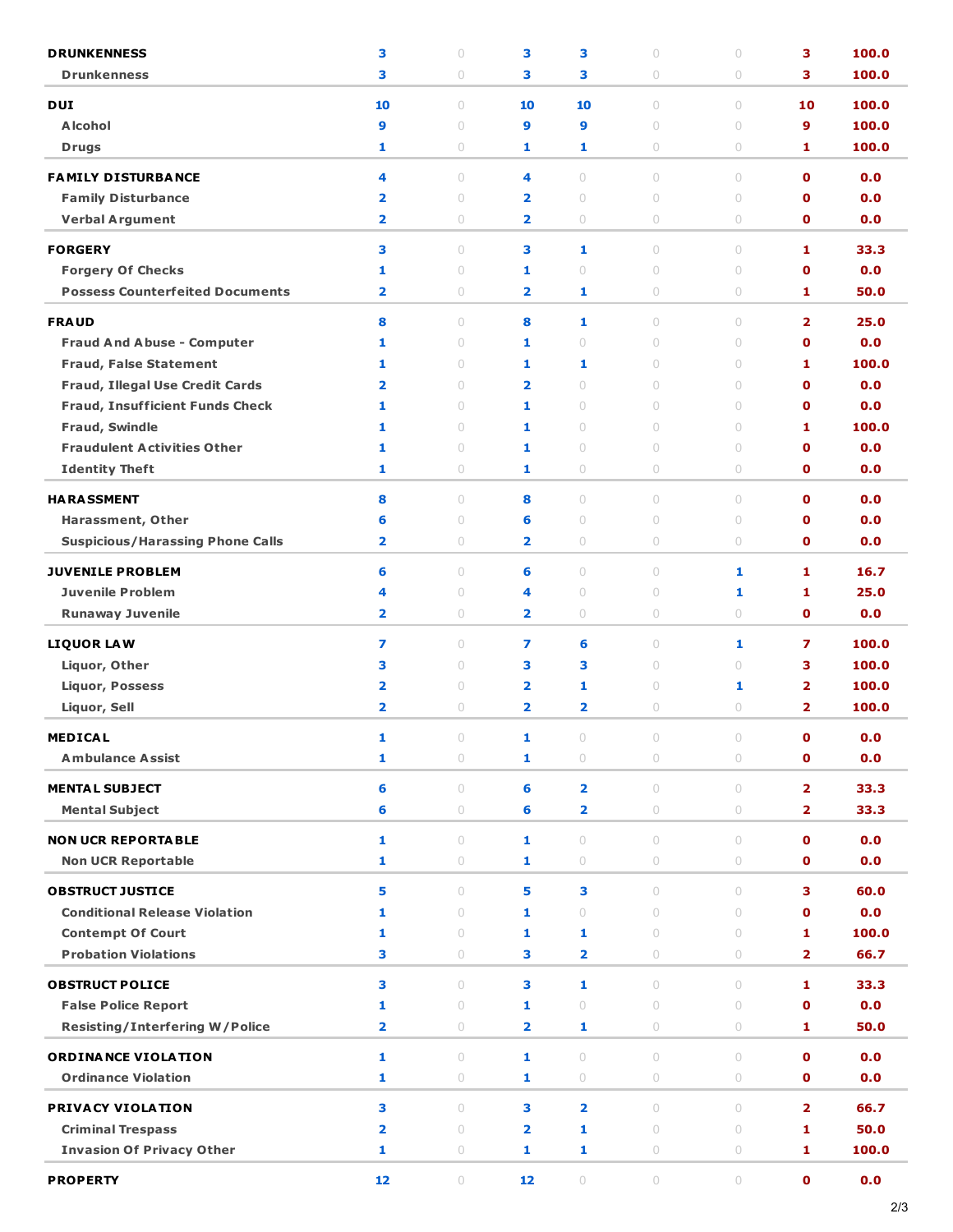| <b>DRUNKENNESS</b>                      | з                       | $\circ$ | 3                       | з                       | $\circ$                          | $\circ$                          | з                       | 100.0 |
|-----------------------------------------|-------------------------|---------|-------------------------|-------------------------|----------------------------------|----------------------------------|-------------------------|-------|
| <b>Drunkenness</b>                      | 3                       | 0       | з                       | з                       | $\circ$                          | 0                                | 3                       | 100.0 |
| <b>DUI</b>                              | 10                      | $\circ$ | 10                      | 10                      | $\begin{array}{c} \n\end{array}$ | $\circ$                          | 10                      | 100.0 |
| <b>Alcohol</b>                          | 9                       | $\circ$ | 9                       | 9                       | $\circ$                          | $\circ$                          | 9                       | 100.0 |
| <b>Drugs</b>                            | 1                       | 0       | 1                       | 1                       | $\circ$                          | 0                                | 1                       | 100.0 |
|                                         |                         |         |                         |                         |                                  |                                  |                         |       |
| <b>FAMILY DISTURBANCE</b>               | 4                       | $\cup$  | 4                       | $\circ$                 | $\begin{array}{c} \n\end{array}$ | $\begin{array}{c} \n\end{array}$ | $\mathbf 0$             | 0.0   |
| <b>Family Disturbance</b>               | $\overline{\mathbf{2}}$ | $\circ$ | $\overline{\mathbf{2}}$ | $\circ$                 | $\begin{array}{c} \n\end{array}$ | $\circ$                          | $\mathbf o$             | 0.0   |
| <b>Verbal Argument</b>                  | $\overline{\mathbf{2}}$ | 0       | $\overline{\mathbf{2}}$ | $\bigcirc$              | $\circ$                          | $\bigcirc$                       | $\mathbf 0$             | 0.0   |
| <b>FORGERY</b>                          | 3                       | $\circ$ | 3                       | 1                       | $\circ$                          | $\begin{array}{c} \n\end{array}$ | 1                       | 33.3  |
| <b>Forgery Of Checks</b>                | 1                       | $\circ$ | 1                       | $\circ$                 | $\begin{array}{c} \n\end{array}$ | $\circ$                          | $\mathbf o$             | 0.0   |
| <b>Possess Counterfeited Documents</b>  | $\overline{\mathbf{2}}$ | 0       | $\overline{\mathbf{2}}$ | 1                       | $\circ$                          | 0                                | 1                       | 50.0  |
| <b>FRAUD</b>                            | 8                       | $\circ$ | 8                       | 1                       | $\circ$                          | $\circ$                          | $\overline{2}$          | 25.0  |
| <b>Fraud And Abuse - Computer</b>       | 1                       | 0       | 1                       | $\circ$                 | $\circ$                          | $\circ$                          | $\mathbf o$             | 0.0   |
| <b>Fraud, False Statement</b>           | 1                       | $\circ$ | 1                       | 1                       | $\begin{array}{c} \n\end{array}$ | $\cup$                           | 1                       | 100.0 |
| <b>Fraud, Illegal Use Credit Cards</b>  | $\overline{\mathbf{2}}$ | 0       | $\overline{\mathbf{2}}$ | 0                       | $\cup$                           | $\cup$                           | $\mathbf 0$             | 0.0   |
| <b>Fraud, Insufficient Funds Check</b>  | 1                       | $\circ$ | 1                       | $\circ$                 | $\begin{array}{c} \n\end{array}$ | $\circ$                          | $\mathbf 0$             | 0.0   |
| Fraud, Swindle                          | 1                       | 0       | 1                       | $\circ$                 | $\begin{array}{c} \n\end{array}$ | $\circ$                          | 1                       | 100.0 |
| <b>Fraudulent Activities Other</b>      | 1                       | $\cup$  | 1                       | $\circ$                 | $\begin{array}{c} \n\end{array}$ | $\circ$                          | $\mathbf 0$             | 0.0   |
| <b>Identity Theft</b>                   | 1                       | 0       | 1                       | 0                       | $\circ$                          | 0                                | $\mathbf 0$             | 0.0   |
|                                         |                         |         |                         |                         |                                  |                                  |                         |       |
| <b>HARASSMENT</b>                       | 8                       | $\circ$ | 8                       | $\circ$                 | $\circ$                          | $\circ$                          | $\mathbf 0$             | 0.0   |
| Harassment, Other                       | 6                       | 0       | 6                       | $\circ$                 | $\circ$                          | $\circ$                          | $\mathbf o$             | 0.0   |
| <b>Suspicious/Harassing Phone Calls</b> | $\overline{\mathbf{2}}$ | 0       | $\overline{\mathbf{2}}$ | 0                       | $\circ$                          | $\circ$                          | $\mathbf o$             | 0.0   |
| <b>JUVENILE PROBLEM</b>                 | 6                       | $\circ$ | 6                       | $\circ$                 | $\begin{array}{c} \n\end{array}$ | 1                                | 1                       | 16.7  |
| <b>Juvenile Problem</b>                 | 4                       | $\circ$ | 4                       | $\bigcirc$              | $\circ$                          | 1                                | 1                       | 25.0  |
| <b>Runaway Juvenile</b>                 | $\overline{\mathbf{2}}$ | 0       | 2                       | 0                       | $\circ$                          | 0                                | $\mathbf 0$             | 0.0   |
| <b>LIQUOR LAW</b>                       | 7                       | $\cup$  | 7                       | 6                       | $\circ$                          | 1                                | 7                       | 100.0 |
| Liquor, Other                           | 3                       | 0       | з                       | з                       | $\begin{array}{c} \n\end{array}$ | $\cup$                           | 3                       | 100.0 |
| <b>Liquor, Possess</b>                  | $\overline{\mathbf{2}}$ | $\circ$ | 2                       | 1                       | $\circ$                          | 1                                | $\overline{\mathbf{2}}$ | 100.0 |
| Liquor, Sell                            | $\overline{\mathbf{2}}$ | 0       | $\overline{\mathbf{2}}$ | $\overline{\mathbf{2}}$ | $\circ$                          | 0                                | $\overline{2}$          | 100.0 |
|                                         |                         |         |                         |                         |                                  |                                  |                         |       |
| MEDICAL                                 | 1                       | $\circ$ | 1                       | $\circ$                 | $\circ$                          | $\circ$                          | 0                       | 0.0   |
| <b>Ambulance Assist</b>                 | 1                       | $\circ$ | 1                       | $\circ$                 | $\circ$                          | $\circ$                          | $\mathbf 0$             | 0.0   |
| <b>MENTAL SUBJECT</b>                   | 6                       | $\circ$ | 6                       | $\overline{\mathbf{2}}$ | $\circ$                          | $\circ$                          | $\overline{2}$          | 33.3  |
| <b>Mental Subject</b>                   | 6                       | $\circ$ | 6                       | $\overline{\mathbf{2}}$ | $\circ$                          | $\circ$                          | $\overline{2}$          | 33.3  |
| <b>NON UCR REPORTABLE</b>               | 1                       | $\cup$  | 1                       | $\circ$                 | $\begin{array}{c} \n\end{array}$ | $\begin{array}{c} \n\end{array}$ | $\mathbf{o}$            | 0.0   |
| <b>Non UCR Reportable</b>               | 1                       | $\circ$ | 1                       | $\bigcirc$              | $\circ$                          | $\circ$                          | $\mathbf 0$             | 0.0   |
|                                         |                         |         |                         |                         |                                  |                                  |                         |       |
| <b>OBSTRUCT JUSTICE</b>                 | 5                       | $\circ$ | 5                       | 3                       | $\circ$                          | $\circ$                          | 3                       | 60.0  |
| <b>Conditional Release Violation</b>    | 1                       | $\circ$ | 1                       | $\circ$                 | $\circ$                          | $\circ$                          | $\mathbf 0$             | 0.0   |
| <b>Contempt Of Court</b>                | 1                       | $\circ$ | 1                       | 1                       | $\begin{array}{c} \n\end{array}$ | $\begin{array}{c} \n\end{array}$ | 1                       | 100.0 |
| <b>Probation Violations</b>             | 3                       | $\circ$ | 3                       | $\overline{\mathbf{2}}$ | $\circ$                          | $\circ$                          | $\overline{2}$          | 66.7  |
| <b>OBSTRUCT POLICE</b>                  | 3                       | $\circ$ | 3                       | 1                       | $\circ$                          | $\circ$                          | $\mathbf{1}$            | 33.3  |
| <b>False Police Report</b>              | 1                       | $\circ$ | 1                       | $\circ$                 | $\circ$                          | $\circ$                          | $\mathbf o$             | 0.0   |
| <b>Resisting/Interfering W/Police</b>   | $\overline{\mathbf{2}}$ | 0       | $\overline{\mathbf{2}}$ | 1                       | $\circ$                          | $\circ$                          | 1                       | 50.0  |
| <b>ORDINANCE VIOLATION</b>              | 1                       | $\circ$ | 1                       | $\circ$                 | $\begin{array}{c} \n\end{array}$ | $\begin{array}{c} \n\end{array}$ | $\mathbf o$             | 0.0   |
| <b>Ordinance Violation</b>              | 1                       | $\circ$ | 1                       | $\bigcirc$              | $\circ$                          | $\bigcirc$                       | $\mathbf 0$             | 0.0   |
|                                         |                         |         |                         |                         |                                  |                                  |                         |       |
| <b>PRIVACY VIOLATION</b>                | 3                       | $\circ$ | 3                       | $\overline{\mathbf{2}}$ | $\begin{array}{c} \n\end{array}$ | $\begin{array}{c} \n\end{array}$ | $\overline{2}$          | 66.7  |
| <b>Criminal Trespass</b>                | $\overline{\mathbf{2}}$ | $\circ$ | $\overline{\mathbf{2}}$ | 1                       | $\begin{array}{c} \n\end{array}$ | $\circ$                          | 1                       | 50.0  |
| <b>Invasion Of Privacy Other</b>        | 1                       | $\circ$ | 1                       | 1                       | $\circ$                          | $\bigcirc$                       | 1                       | 100.0 |
| <b>PROPERTY</b>                         | 12                      | $\circ$ | 12                      | $\bigcirc$              | $\circlearrowright$              | $\circlearrowright$              | $\mathbf 0$             | 0.0   |